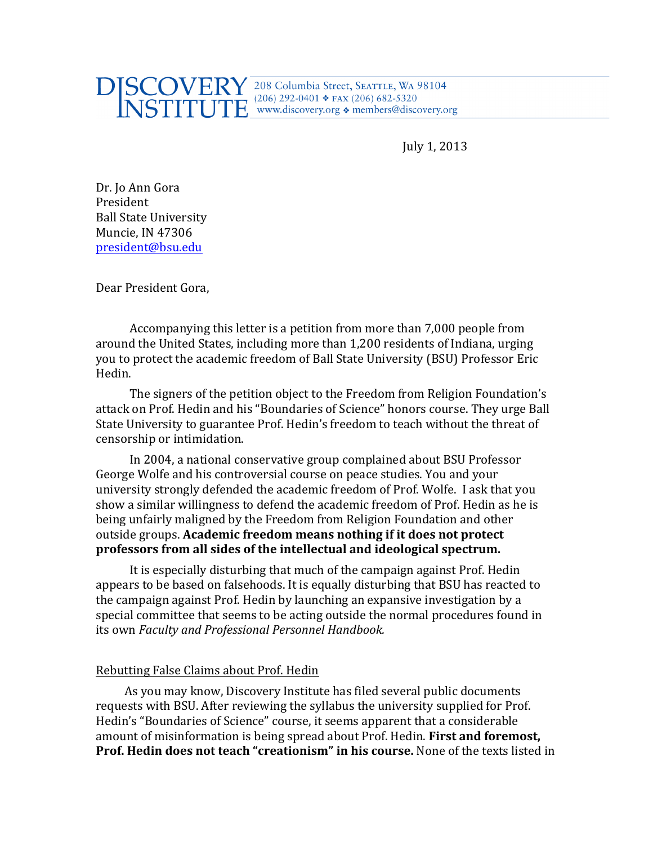## $[SCOVERY]^{208}$  Columbia Street, SEATTLE, WA 98104  $E^{(206) 292-0401 * FAX (206) 682-5320}$  www.discovery.org  $\bullet$  members@discovery.org

July 1, 2013

Dr. Jo Ann Gora President **Ball State University** Muncie, IN 47306 president@bsu.edu

Dear President Gora,

Accompanying this letter is a petition from more than 7,000 people from around the United States, including more than 1,200 residents of Indiana, urging you to protect the academic freedom of Ball State University (BSU) Professor Eric Hedin.

The signers of the petition object to the Freedom from Religion Foundation's attack on Prof. Hedin and his "Boundaries of Science" honors course. They urge Ball State University to guarantee Prof. Hedin's freedom to teach without the threat of censorship or intimidation.

In 2004, a national conservative group complained about BSU Professor George Wolfe and his controversial course on peace studies. You and your university strongly defended the academic freedom of Prof. Wolfe. I ask that you show a similar willingness to defend the academic freedom of Prof. Hedin as he is being unfairly maligned by the Freedom from Religion Foundation and other outside groups. **Academic freedom means nothing if it does not protect** professors from all sides of the intellectual and ideological spectrum.

It is especially disturbing that much of the campaign against Prof. Hedin appears to be based on falsehoods. It is equally disturbing that BSU has reacted to the campaign against Prof. Hedin by launching an expansive investigation by a special committee that seems to be acting outside the normal procedures found in its own *Faculty and Professional Personnel Handbook.* 

## Rebutting False Claims about Prof. Hedin

As you may know, Discovery Institute has filed several public documents requests with BSU. After reviewing the syllabus the university supplied for Prof. Hedin's "Boundaries of Science" course, it seems apparent that a considerable amount of misinformation is being spread about Prof. Hedin. **First and foremost**, **Prof. Hedin does not teach "creationism" in his course.** None of the texts listed in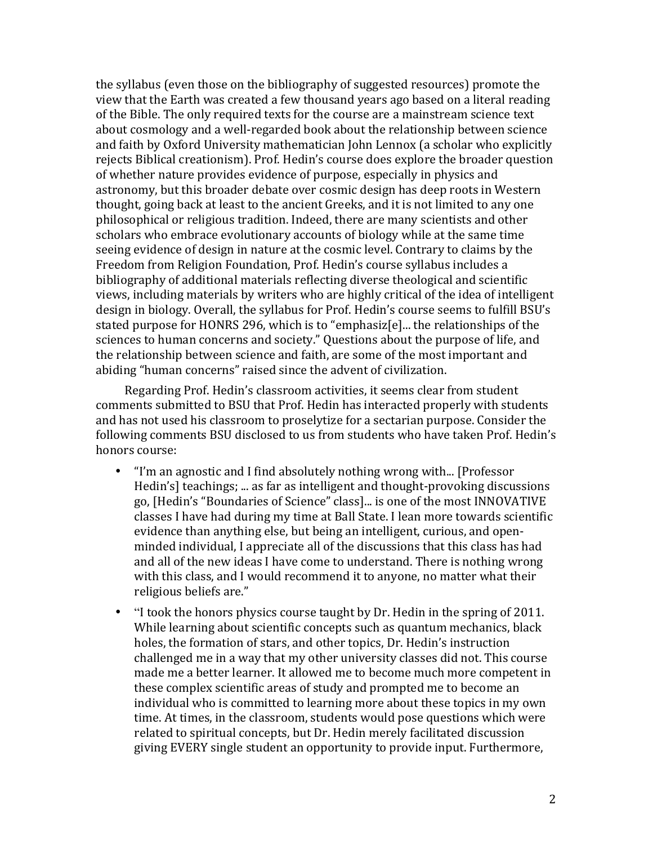the syllabus (even those on the bibliography of suggested resources) promote the view that the Earth was created a few thousand years ago based on a literal reading of the Bible. The only required texts for the course are a mainstream science text about cosmology and a well-regarded book about the relationship between science and faith by Oxford University mathematician John Lennox (a scholar who explicitly rejects Biblical creationism). Prof. Hedin's course does explore the broader question of whether nature provides evidence of purpose, especially in physics and astronomy, but this broader debate over cosmic design has deep roots in Western thought, going back at least to the ancient Greeks, and it is not limited to any one philosophical or religious tradition. Indeed, there are many scientists and other scholars who embrace evolutionary accounts of biology while at the same time seeing evidence of design in nature at the cosmic level. Contrary to claims by the Freedom from Religion Foundation, Prof. Hedin's course syllabus includes a bibliography of additional materials reflecting diverse theological and scientific views, including materials by writers who are highly critical of the idea of intelligent design in biology. Overall, the syllabus for Prof. Hedin's course seems to fulfill BSU's stated purpose for HONRS 296, which is to "emphasiz[e]... the relationships of the sciences to human concerns and society." Questions about the purpose of life, and the relationship between science and faith, are some of the most important and abiding "human concerns" raised since the advent of civilization.

Regarding Prof. Hedin's classroom activities, it seems clear from student comments submitted to BSU that Prof. Hedin has interacted properly with students and has not used his classroom to proselytize for a sectarian purpose. Consider the following comments BSU disclosed to us from students who have taken Prof. Hedin's honors course:

- "I'm an agnostic and I find absolutely nothing wrong with... [Professor Hedin's] teachings; ... as far as intelligent and thought-provoking discussions go, [Hedin's "Boundaries of Science" class]... is one of the most INNOVATIVE classes I have had during my time at Ball State. I lean more towards scientific evidence than anything else, but being an intelligent, curious, and openminded individual, I appreciate all of the discussions that this class has had and all of the new ideas I have come to understand. There is nothing wrong with this class, and I would recommend it to anyone, no matter what their religious beliefs are."
- "I took the honors physics course taught by Dr. Hedin in the spring of 2011. While learning about scientific concepts such as quantum mechanics, black holes, the formation of stars, and other topics, Dr. Hedin's instruction challenged me in a way that my other university classes did not. This course made me a better learner. It allowed me to become much more competent in these complex scientific areas of study and prompted me to become an individual who is committed to learning more about these topics in my own time. At times, in the classroom, students would pose questions which were related to spiritual concepts, but Dr. Hedin merely facilitated discussion giving EVERY single student an opportunity to provide input. Furthermore,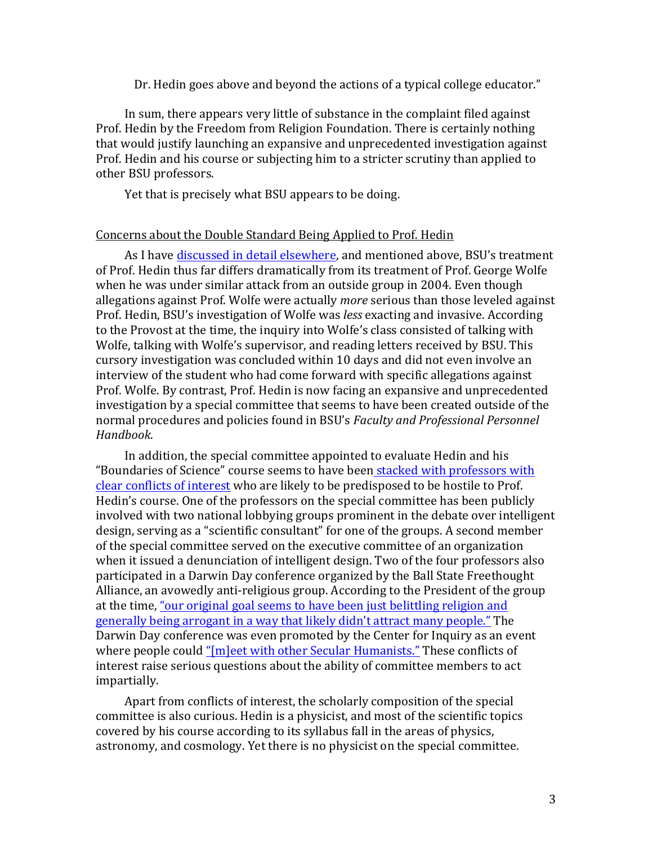Dr. Hedin goes above and beyond the actions of a typical college educator."

In sum, there appears very little of substance in the complaint filed against Prof. Hedin by the Freedom from Religion Foundation. There is certainly nothing that would justify launching an expansive and unprecedented investigation against Prof. Hedin and his course or subjecting him to a stricter scrutiny than applied to other BSU professors.

Yet that is precisely what BSU appears to be doing.

## Concerns about the Double Standard Being Applied to Prof. Hedin

As I have discussed in detail elsewhere, and mentioned above, BSU's treatment of Prof. Hedin thus far differs dramatically from its treatment of Prof. George Wolfe when he was under similar attack from an outside group in 2004. Even though allegations against Prof. Wolfe were actually *more* serious than those leveled against Prof. Hedin, BSU's investigation of Wolfe was *less* exacting and invasive. According to the Provost at the time, the inquiry into Wolfe's class consisted of talking with Wolfe, talking with Wolfe's supervisor, and reading letters received by BSU. This cursory investigation was concluded within 10 days and did not even involve an interview of the student who had come forward with specific allegations against Prof. Wolfe. By contrast, Prof. Hedin is now facing an expansive and unprecedented investigation by a special committee that seems to have been created outside of the normal procedures and policies found in BSU's *Faculty and Professional Personnel Handbook*.!

In addition, the special committee appointed to evaluate Hedin and his "Boundaries of Science" course seems to have been stacked with professors with clear conflicts of interest who are likely to be predisposed to be hostile to Prof. Hedin's course. One of the professors on the special committee has been publicly involved with two national lobbying groups prominent in the debate over intelligent design, serving as a "scientific consultant" for one of the groups. A second member of the special committee served on the executive committee of an organization when it issued a denunciation of intelligent design. Two of the four professors also participated in a Darwin Day conference organized by the Ball State Freethought Alliance, an avowedly anti-religious group. According to the President of the group at the time, "our original goal seems to have been just belittling religion and generally being arrogant in a way that likely didn't attract many people." The Darwin Day conference was even promoted by the Center for Inquiry as an event where people could " $[m]$ eet with other Secular Humanists." These conflicts of interest raise serious questions about the ability of committee members to act impartially.

Apart from conflicts of interest, the scholarly composition of the special committee is also curious. Hedin is a physicist, and most of the scientific topics covered by his course according to its syllabus fall in the areas of physics, astronomy, and cosmology. Yet there is no physicist on the special committee.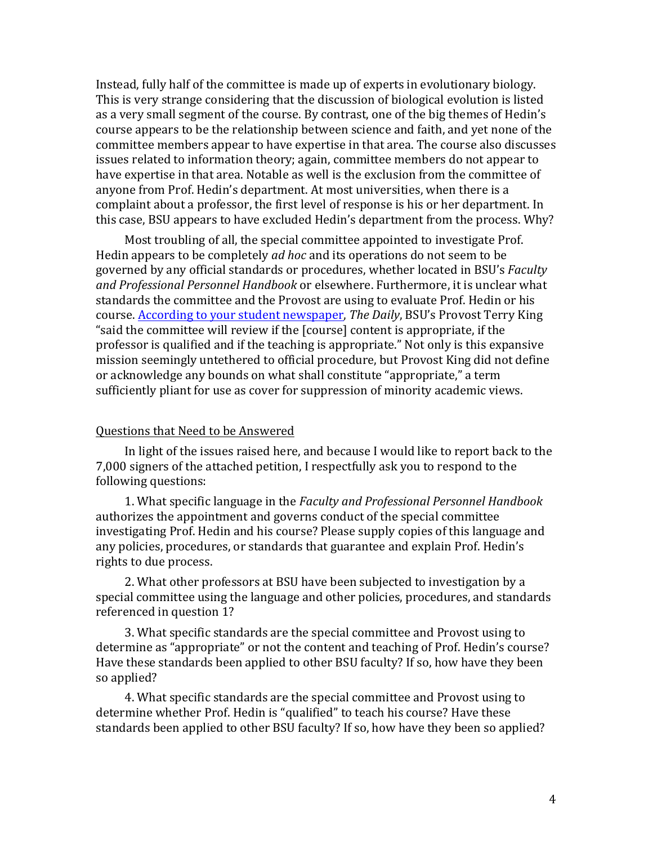Instead, fully half of the committee is made up of experts in evolutionary biology. This is very strange considering that the discussion of biological evolution is listed as a very small segment of the course. By contrast, one of the big themes of Hedin's course appears to be the relationship between science and faith, and yet none of the committee members appear to have expertise in that area. The course also discusses issues related to information theory; again, committee members do not appear to have expertise in that area. Notable as well is the exclusion from the committee of anyone from Prof. Hedin's department. At most universities, when there is a complaint about a professor, the first level of response is his or her department. In this case, BSU appears to have excluded Hedin's department from the process. Why?

Most troubling of all, the special committee appointed to investigate Prof. Hedin appears to be completely *ad hoc* and its operations do not seem to be governed by any official standards or procedures, whether located in BSU's *Faculty* and Professional Personnel Handbook or elsewhere. Furthermore, it is unclear what standards the committee and the Provost are using to evaluate Prof. Hedin or his course. According to your student newspaper, The Daily, BSU's Provost Terry King "said the committee will review if the [course] content is appropriate, if the professor is qualified and if the teaching is appropriate." Not only is this expansive mission seemingly untethered to official procedure, but Provost King did not define or acknowledge any bounds on what shall constitute "appropriate," a term sufficiently pliant for use as cover for suppression of minority academic views.

## Questions that Need to be Answered

In light of the issues raised here, and because I would like to report back to the 7,000 signers of the attached petition, I respectfully ask you to respond to the following questions:

1. What specific language in the *Faculty and Professional Personnel Handbook* authorizes the appointment and governs conduct of the special committee investigating Prof. Hedin and his course? Please supply copies of this language and any policies, procedures, or standards that guarantee and explain Prof. Hedin's rights to due process.

2. What other professors at BSU have been subjected to investigation by a special committee using the language and other policies, procedures, and standards referenced in question 1?

3. What specific standards are the special committee and Provost using to determine as "appropriate" or not the content and teaching of Prof. Hedin's course? Have these standards been applied to other BSU faculty? If so, how have they been so applied?

4. What specific standards are the special committee and Provost using to determine whether Prof. Hedin is "qualified" to teach his course? Have these standards been applied to other BSU faculty? If so, how have they been so applied?